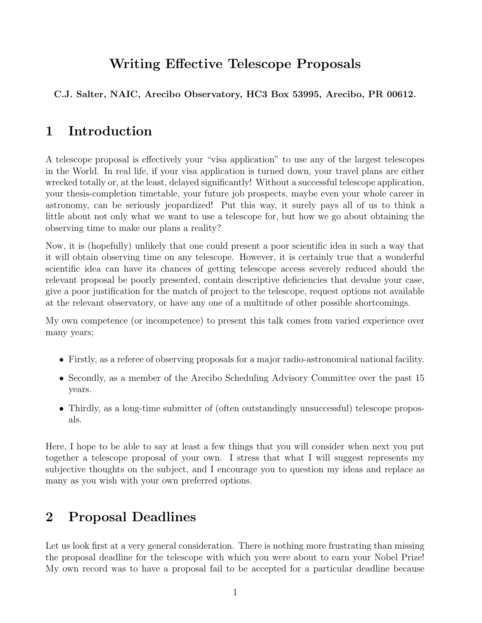# Writing Effective Telescope Proposals

C.J. Salter, NAIC, Arecibo Observatory, HC3 Box 53995, Arecibo, PR 00612.

## 1 Introduction

A telescope proposal is effectively your "visa application" to use any of the largest telescopes in the World. In real life, if your visa application is turned down, your travel plans are either wrecked totally or, at the least, delayed significantly! Without a successful telescope application, your thesis-completion timetable, your future job prospects, maybe even your whole career in astronomy, can be seriously jeopardized! Put this way, it surely pays all of us to think a little about not only what we want to use a telescope for, but how we go about obtaining the observing time to make our plans a reality?

Now, it is (hopefully) unlikely that one could present a poor scientific idea in such a way that it will obtain observing time on any telescope. However, it is certainly true that a wonderful scientific idea can have its chances of getting telescope access severely reduced should the relevant proposal be poorly presented, contain descriptive deficiencies that devalue your case, give a poor justification for the match of project to the telescope, request options not available at the relevant observatory, or have any one of a multitude of other possible shortcomings.

My own competence (or incompetence) to present this talk comes from varied experience over many years;

- Firstly, as <sup>a</sup> referee of observing proposals for <sup>a</sup> major radio-astronomical national facility.
- Secondly, as a member of the Arecibo Scheduling Advisory Committee over the past 15 years.
- Thirdly, as a long-time submitter of (often outstandingly unsuccessful) telescope proposals.

Here, I hope to be able to say at least a few things that you will consider when next you put together a telescope proposal of your own. I stress that what I will suggest represents my subjective thoughts on the subject, and I encourage you to question my ideas and replace as many as you wish with your own preferred options.

# 2 Proposal Deadlines

Let us look first at a very general consideration. There is nothing more frustrating than missing the proposal deadline for the telescope with which you were about to earn your Nobel Prize! My own record was to have a proposal fail to be accepted for a particular deadline because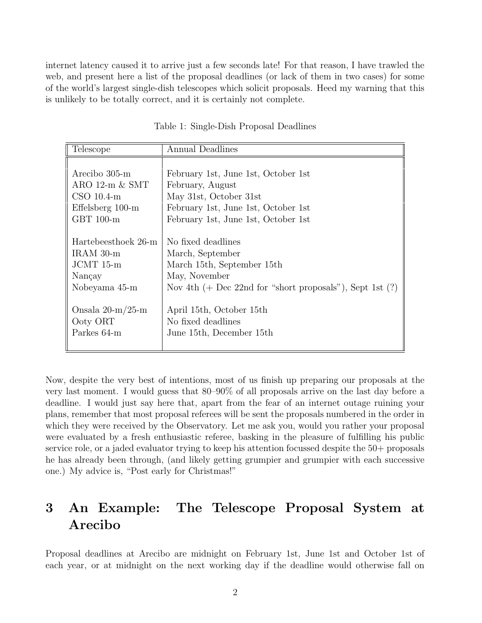internet latency caused it to arrive just a few seconds late! For that reason, I have trawled the web, and present here a list of the proposal deadlines (or lack of them in two cases) for some of the world's largest single-dish telescopes which solicit proposals. Heed my warning that this is unlikely to be totally correct, and it is certainly not complete.

| Telescope           | Annual Deadlines                                              |
|---------------------|---------------------------------------------------------------|
|                     |                                                               |
| Arecibo 305-m       | February 1st, June 1st, October 1st                           |
| ARO $12-m \& SMT$   | February, August                                              |
| $CSO$ 10.4-m        | May 31st, October 31st                                        |
| Effelsberg 100-m    | February 1st, June 1st, October 1st                           |
| GBT 100-m           | February 1st, June 1st, October 1st                           |
|                     |                                                               |
| Hartebeesthoek 26-m | No fixed deadlines                                            |
| $IRAM$ 30-m         | March, September                                              |
| $JCMT15-m$          | March 15th, September 15th                                    |
| Nançay              | May, November                                                 |
| Nobeyama 45-m       | Nov 4th $(+)$ Dec 22nd for "short proposals"), Sept 1st $(?)$ |
|                     |                                                               |
| Onsala $20-m/25-m$  | April 15th, October 15th                                      |
| Ooty ORT            | No fixed deadlines                                            |
| Parkes 64-m         | June 15th, December 15th                                      |
|                     |                                                               |

Table 1: Single-Dish Proposal Deadlines

Now, despite the very best of intentions, most of us finish up preparing our proposals at the very last moment. I would guess that 80–90% of all proposals arrive on the last day before a deadline. I would just say here that, apart from the fear of an internet outage ruining your plans, remember that most proposal referees will be sent the proposals numbered in the order in which they were received by the Observatory. Let me ask you, would you rather your proposal were evaluated by a fresh enthusiastic referee, basking in the pleasure of fulfilling his public service role, or a jaded evaluator trying to keep his attention focussed despite the 50+ proposals he has already been through, (and likely getting grumpier and grumpier with each successive one.) My advice is, "Post early for Christmas!"

# 3 An Example: The Telescope Proposal System at Arecibo

Proposal deadlines at Arecibo are midnight on February 1st, June 1st and October 1st of each year, or at midnight on the next working day if the deadline would otherwise fall on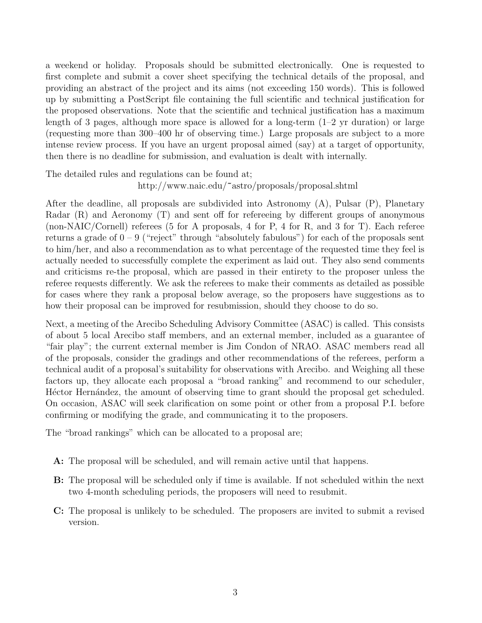a weekend or holiday. Proposals should be submitted electronically. One is requested to first complete and submit a cover sheet specifying the technical details of the proposal, and providing an abstract of the project and its aims (not exceeding 150 words). This is followed up by submitting a PostScript file containing the full scientific and technical justification for the proposed observations. Note that the scientific and technical justification has a maximum length of 3 pages, although more space is allowed for a long-term  $(1-2 \text{ yr duration})$  or large (requesting more than 300–400 hr of observing time.) Large proposals are subject to a more intense review process. If you have an urgent proposal aimed (say) at a target of opportunity, then there is no deadline for submission, and evaluation is dealt with internally.

The detailed rules and regulations can be found at;

http://www.naic.edu/~astro/proposals/proposal.shtml

After the deadline, all proposals are subdivided into Astronomy (A), Pulsar (P), Planetary Radar (R) and Aeronomy (T) and sent off for refereeing by different groups of anonymous (non-NAIC/Cornell) referees (5 for A proposals, 4 for P, 4 for R, and 3 for T). Each referee returns a grade of  $0 - 9$  ("reject" through "absolutely fabulous") for each of the proposals sent to him/her, and also a recommendation as to what percentage of the requested time they feel is actually needed to successfully complete the experiment as laid out. They also send comments and criticisms re-the proposal, which are passed in their entirety to the proposer unless the referee requests differently. We ask the referees to make their comments as detailed as possible for cases where they rank a proposal below average, so the proposers have suggestions as to how their proposal can be improved for resubmission, should they choose to do so.

Next, a meeting of the Arecibo Scheduling Advisory Committee (ASAC) is called. This consists of about 5 local Arecibo staff members, and an external member, included as a guarantee of "fair play"; the current external member is Jim Condon of NRAO. ASAC members read all of the proposals, consider the gradings and other recommendations of the referees, perform a technical audit of a proposal's suitability for observations with Arecibo. and Weighing all these factors up, they allocate each proposal a "broad ranking" and recommend to our scheduler, Hector Hernández, the amount of observing time to grant should the proposal get scheduled. On occasion, ASAC will seek clarification on some point or other from a proposal P.I. before confirming or modifying the grade, and communicating it to the proposers.

The "broad rankings" which can be allocated to a proposal are;

- A: The proposal will be scheduled, and will remain active until that happens.
- B: The proposal will be scheduled only if time is available. If not scheduled within the next two 4-month scheduling periods, the proposers will need to resubmit.
- C: The proposal is unlikely to be scheduled. The proposers are invited to submit a revised version.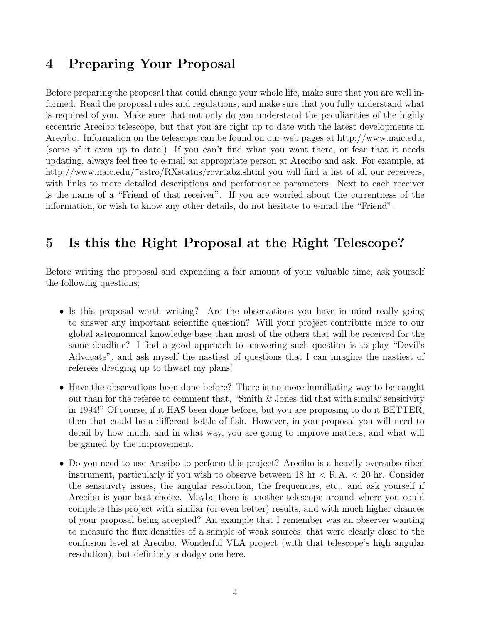#### 4 Preparing Your Proposal

Before preparing the proposal that could change your whole life, make sure that you are well informed. Read the proposal rules and regulations, and make sure that you fully understand what is required of you. Make sure that not only do you understand the peculiarities of the highly eccentric Arecibo telescope, but that you are right up to date with the latest developments in Arecibo. Information on the telescope can be found on our web pages at http://www.naic.edu, (some of it even up to date!) If you can't find what you want there, or fear that it needs updating, always feel free to e-mail an appropriate person at Arecibo and ask. For example, at http://www.naic.edu/~astro/RXstatus/rcvrtabz.shtml you will find a list of all our receivers, with links to more detailed descriptions and performance parameters. Next to each receiver is the name of a "Friend of that receiver". If you are worried about the currentness of the information, or wish to know any other details, do not hesitate to e-mail the "Friend".

## 5 Is this the Right Proposal at the Right Telescope?

Before writing the proposal and expending a fair amount of your valuable time, ask yourself the following questions;

- Is this proposal worth writing? Are the observations you have in mind really going to answer any important scientific question? Will your project contribute more to our global astronomical knowledge base than most of the others that will be received for the same deadline? I find a good approach to answering such question is to play "Devil's Advocate", and ask myself the nastiest of questions that I can imagine the nastiest of referees dredging up to thwart my plans!
- Have the observations been done before? There is no more humiliating way to be caught out than for the referee to comment that, "Smith  $\&$  Jones did that with similar sensitivity in 1994!" Of course, if it HAS been done before, but you are proposing to do it BETTER, then that could be a different kettle of fish. However, in you proposal you will need to detail by how much, and in what way, you are going to improve matters, and what will be gained by the improvement.
- Do you need to use Arecibo to perform this project? Arecibo is a heavily oversubscribed instrument, particularly if you wish to observe between 18 hr < R.A. < 20 hr. Consider the sensitivity issues, the angular resolution, the frequencies, etc., and ask yourself if Arecibo is your best choice. Maybe there is another telescope around where you could complete this project with similar (or even better) results, and with much higher chances of your proposal being accepted? An example that I remember was an observer wanting to measure the flux densities of a sample of weak sources, that were clearly close to the confusion level at Arecibo, Wonderful VLA project (with that telescope's high angular resolution), but definitely a dodgy one here.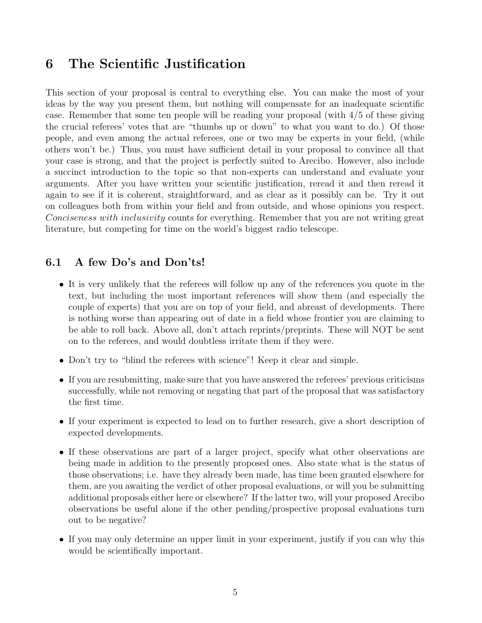#### 6 The Scientific Justification

This section of your proposal is central to everything else. You can make the most of your ideas by the way you present them, but nothing will compensate for an inadequate scientific case. Remember that some ten people will be reading your proposal (with 4/5 of these giving the crucial referees' votes that are "thumbs up or down" to what you want to do.) Of those people, and even among the actual referees, one or two may be experts in your field, (while others won't be.) Thus, you must have sufficient detail in your proposal to convince all that your case is strong, and that the project is perfectly suited to Arecibo. However, also include a succinct introduction to the topic so that non-experts can understand and evaluate your arguments. After you have written your scientific justification, reread it and then reread it again to see if it is coherent, straightforward, and as clear as it possibly can be. Try it out on colleagues both from within your field and from outside, and whose opinions you respect. Conciseness with inclusivity counts for everything. Remember that you are not writing great literature, but competing for time on the world's biggest radio telescope.

#### 6.1 A few Do's and Don'ts!

- It is very unlikely that the referees will follow up any of the references you quote in the text, but including the most important references will show them (and especially the couple of experts) that you are on top of your field, and abreast of developments. There is nothing worse than appearing out of date in a field whose frontier you are claiming to be able to roll back. Above all, don't attach reprints/preprints. These will NOT be sent on to the referees, and would doubtless irritate them if they were.
- Don't try to "blind the referees with science"! Keep it clear and simple.
- If you are resubmitting, make sure that you have answered the referees' previous criticisms successfully, while not removing or negating that part of the proposal that was satisfactory the first time.
- If your experiment is expected to lead on to further research, give <sup>a</sup> short description of expected developments.
- If these observations are part of <sup>a</sup> larger project, specify what other observations are being made in addition to the presently proposed ones. Also state what is the status of those observations; i.e. have they already been made, has time been granted elsewhere for them, are you awaiting the verdict of other proposal evaluations, or will you be submitting additional proposals either here or elsewhere? If the latter two, will your proposed Arecibo observations be useful alone if the other pending/prospective proposal evaluations turn out to be negative?
- If you may only determine an upper limit in your experiment, justify if you can why this would be scientifically important.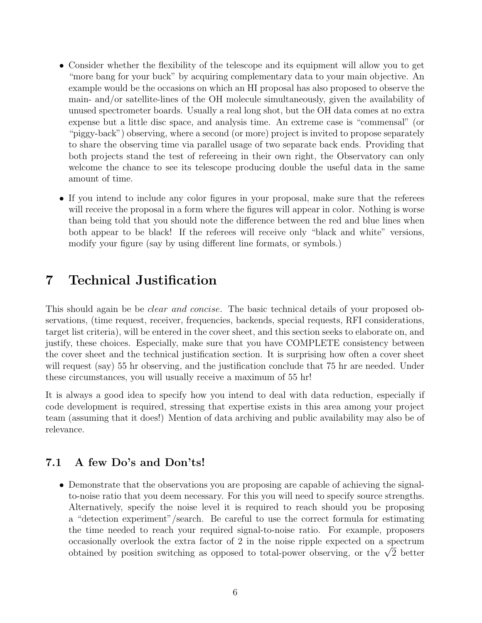- Consider whether the flexibility of the telescope and its equipment will allow you to get "more bang for your buck" by acquiring complementary data to your main objective. An example would be the occasions on which an HI proposal has also proposed to observe the main- and/or satellite-lines of the OH molecule simultaneously, given the availability of unused spectrometer boards. Usually a real long shot, but the OH data comes at no extra expense but a little disc space, and analysis time. An extreme case is "commensal" (or "piggy-back") observing, where a second (or more) project is invited to propose separately to share the observing time via parallel usage of two separate back ends. Providing that both projects stand the test of refereeing in their own right, the Observatory can only welcome the chance to see its telescope producing double the useful data in the same amount of time.
- If you intend to include any color figures in your proposal, make sure that the referees will receive the proposal in a form where the figures will appear in color. Nothing is worse than being told that you should note the difference between the red and blue lines when both appear to be black! If the referees will receive only "black and white" versions, modify your figure (say by using different line formats, or symbols.)

## 7 Technical Justification

This should again be be *clear and concise*. The basic technical details of your proposed observations, (time request, receiver, frequencies, backends, special requests, RFI considerations, target list criteria), will be entered in the cover sheet, and this section seeks to elaborate on, and justify, these choices. Especially, make sure that you have COMPLETE consistency between the cover sheet and the technical justification section. It is surprising how often a cover sheet will request (say) 55 hr observing, and the justification conclude that 75 hr are needed. Under these circumstances, you will usually receive a maximum of 55 hr!

It is always a good idea to specify how you intend to deal with data reduction, especially if code development is required, stressing that expertise exists in this area among your project team (assuming that it does!) Mention of data archiving and public availability may also be of relevance.

#### 7.1 A few Do's and Don'ts!

• Demonstrate that the observations you are proposing are capable of achieving the signalto-noise ratio that you deem necessary. For this you will need to specify source strengths. Alternatively, specify the noise level it is required to reach should you be proposing a "detection experiment"/search. Be careful to use the correct formula for estimating the time needed to reach your required signal-to-noise ratio. For example, proposers occasionally overlook the extra factor of 2 in the noise ripple expected on a spectrum obtained by position switching as opposed to total-power observing, or the  $\sqrt{2}$  better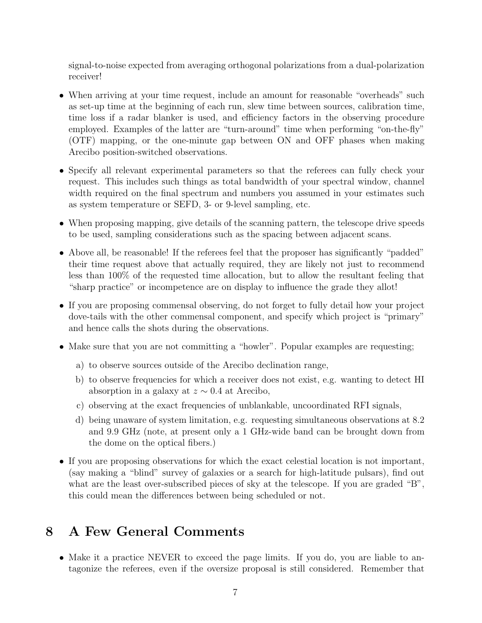signal-to-noise expected from averaging orthogonal polarizations from a dual-polarization receiver!

- When arriving at your time request, include an amount for reasonable "overheads" such as set-up time at the beginning of each run, slew time between sources, calibration time, time loss if a radar blanker is used, and efficiency factors in the observing procedure employed. Examples of the latter are "turn-around" time when performing "on-the-fly" (OTF) mapping, or the one-minute gap between ON and OFF phases when making Arecibo position-switched observations.
- Specify all relevant experimental parameters so that the referees can fully check your request. This includes such things as total bandwidth of your spectral window, channel width required on the final spectrum and numbers you assumed in your estimates such as system temperature or SEFD, 3- or 9-level sampling, etc.
- When proposing mapping, give details of the scanning pattern, the telescope drive speeds to be used, sampling considerations such as the spacing between adjacent scans.
- Above all, be reasonable! If the referees feel that the proposer has significantly "padded" their time request above that actually required, they are likely not just to recommend less than 100% of the requested time allocation, but to allow the resultant feeling that "sharp practice" or incompetence are on display to influence the grade they allot!
- If you are proposing commensal observing, do not forget to fully detail how your project dove-tails with the other commensal component, and specify which project is "primary" and hence calls the shots during the observations.
- Make sure that you are not committing <sup>a</sup> "howler". Popular examples are requesting;
	- a) to observe sources outside of the Arecibo declination range,
	- b) to observe frequencies for which a receiver does not exist, e.g. wanting to detect HI absorption in a galaxy at  $z \sim 0.4$  at Arecibo,
	- c) observing at the exact frequencies of unblankable, uncoordinated RFI signals,
	- d) being unaware of system limitation, e.g. requesting simultaneous observations at 8.2 and 9.9 GHz (note, at present only a 1 GHz-wide band can be brought down from the dome on the optical fibers.)
- If you are proposing observations for which the exact celestial location is not important, (say making a "blind" survey of galaxies or a search for high-latitude pulsars), find out what are the least over-subscribed pieces of sky at the telescope. If you are graded "B", this could mean the differences between being scheduled or not.

## 8 A Few General Comments

• Make it a practice NEVER to exceed the page limits. If you do, you are liable to antagonize the referees, even if the oversize proposal is still considered. Remember that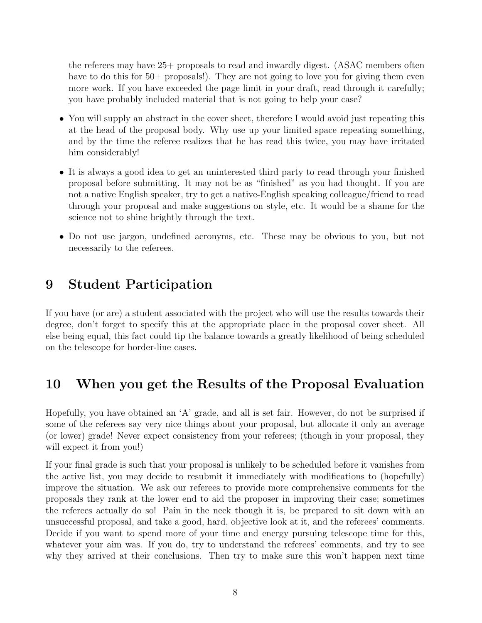the referees may have 25+ proposals to read and inwardly digest. (ASAC members often have to do this for 50+ proposals!). They are not going to love you for giving them even more work. If you have exceeded the page limit in your draft, read through it carefully; you have probably included material that is not going to help your case?

- You will supply an abstract in the cover sheet, therefore I would avoid just repeating this at the head of the proposal body. Why use up your limited space repeating something, and by the time the referee realizes that he has read this twice, you may have irritated him considerably!
- It is always <sup>a</sup> good idea to get an uninterested third party to read through your finished proposal before submitting. It may not be as "finished" as you had thought. If you are not a native English speaker, try to get a native-English speaking colleague/friend to read through your proposal and make suggestions on style, etc. It would be a shame for the science not to shine brightly through the text.
- Do not use jargon, undefined acronyms, etc. These may be obvious to you, but not necessarily to the referees.

### 9 Student Participation

If you have (or are) a student associated with the project who will use the results towards their degree, don't forget to specify this at the appropriate place in the proposal cover sheet. All else being equal, this fact could tip the balance towards a greatly likelihood of being scheduled on the telescope for border-line cases.

### 10 When you get the Results of the Proposal Evaluation

Hopefully, you have obtained an 'A' grade, and all is set fair. However, do not be surprised if some of the referees say very nice things about your proposal, but allocate it only an average (or lower) grade! Never expect consistency from your referees; (though in your proposal, they will expect it from you!)

If your final grade is such that your proposal is unlikely to be scheduled before it vanishes from the active list, you may decide to resubmit it immediately with modifications to (hopefully) improve the situation. We ask our referees to provide more comprehensive comments for the proposals they rank at the lower end to aid the proposer in improving their case; sometimes the referees actually do so! Pain in the neck though it is, be prepared to sit down with an unsuccessful proposal, and take a good, hard, objective look at it, and the referees' comments. Decide if you want to spend more of your time and energy pursuing telescope time for this, whatever your aim was. If you do, try to understand the referees' comments, and try to see why they arrived at their conclusions. Then try to make sure this won't happen next time